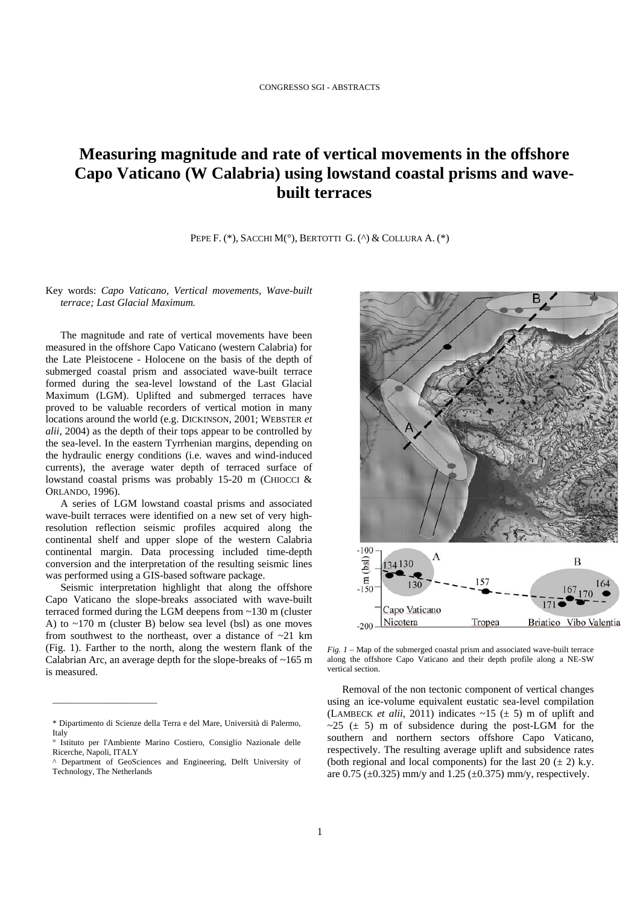## **Measuring magnitude and rate of vertical movements in the offshore Capo Vaticano (W Calabria) using lowstand coastal prisms and wavebuilt terraces**

PEPE F. (\*), SACCHI M(°), BERTOTTI G. (^) & COLLURA A. (\*)

Key words: *Capo Vaticano, Vertical movements, Wave-built terrace; Last Glacial Maximum.*

The magnitude and rate of vertical movements have been measured in the offshore Capo Vaticano (western Calabria) for the Late Pleistocene - Holocene on the basis of the depth of submerged coastal prism and associated wave-built terrace formed during the sea-level lowstand of the Last Glacial Maximum (LGM). Uplifted and submerged terraces have proved to be valuable recorders of vertical motion in many locations around the world (e.g. DICKINSON, 2001; WEBSTER *et alii*, 2004) as the depth of their tops appear to be controlled by the sea-level. In the eastern Tyrrhenian margins, depending on the hydraulic energy conditions (i.e. waves and wind-induced currents), the average water depth of terraced surface of lowstand coastal prisms was probably 15-20 m (CHIOCCI & ORLANDO, 1996).

A series of LGM lowstand coastal prisms and associated wave-built terraces were identified on a new set of very highresolution reflection seismic profiles acquired along the continental shelf and upper slope of the western Calabria continental margin. Data processing included time-depth conversion and the interpretation of the resulting seismic lines was performed using a GIS-based software package.

Seismic interpretation highlight that along the offshore Capo Vaticano the slope-breaks associated with wave-built terraced formed during the LGM deepens from ~130 m (cluster A) to  $\sim$ 170 m (cluster B) below sea level (bsl) as one moves from southwest to the northeast, over a distance of  $\sim 21$  km (Fig. 1). Farther to the north, along the western flank of the Calabrian Arc, an average depth for the slope-breaks of ~165 m is measured.

 $\overline{\phantom{a}}$  , where  $\overline{\phantom{a}}$  , where  $\overline{\phantom{a}}$  , where  $\overline{\phantom{a}}$ 



*Fig. 1* – Map of the submerged coastal prism and associated wave-built terrace along the offshore Capo Vaticano and their depth profile along a NE-SW vertical section.

Removal of the non tectonic component of vertical changes using an ice-volume equivalent eustatic sea-level compilation (LAMBECK *et alii*, 2011) indicates  $\sim$ 15 ( $\pm$  5) m of uplift and  $\sim$ 25 ( $\pm$  5) m of subsidence during the post-LGM for the southern and northern sectors offshore Capo Vaticano, respectively. The resulting average uplift and subsidence rates (both regional and local components) for the last 20  $(\pm 2)$  k.y. are 0.75 ( $\pm$ 0.325) mm/y and 1.25 ( $\pm$ 0.375) mm/y, respectively.

<sup>\*</sup> Dipartimento di Scienze della Terra e del Mare, Università di Palermo, Italy

Istituto per l'Ambiente Marino Costiero, Consiglio Nazionale delle Ricerche, Napoli, ITALY

<sup>^</sup> Department of GeoSciences and Engineering, Delft University of Technology, The Netherlands